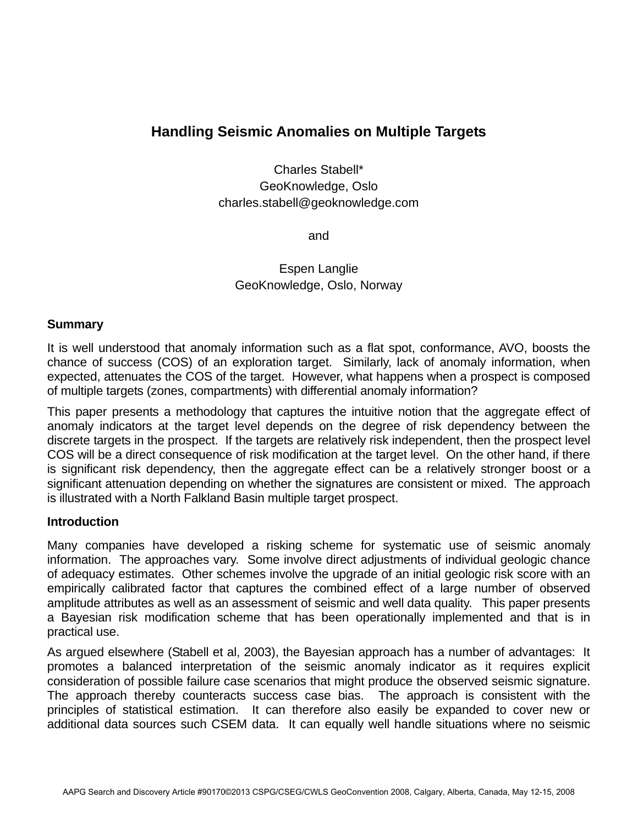# **Handling Seismic Anomalies on Multiple Targets**

Charles Stabell\* GeoKnowledge, Oslo charles.stabell@geoknowledge.com

and

Espen Langlie GeoKnowledge, Oslo, Norway

#### **Summary**

It is well understood that anomaly information such as a flat spot, conformance, AVO, boosts the chance of success (COS) of an exploration target. Similarly, lack of anomaly information, when expected, attenuates the COS of the target. However, what happens when a prospect is composed of multiple targets (zones, compartments) with differential anomaly information?

This paper presents a methodology that captures the intuitive notion that the aggregate effect of anomaly indicators at the target level depends on the degree of risk dependency between the discrete targets in the prospect. If the targets are relatively risk independent, then the prospect level COS will be a direct consequence of risk modification at the target level. On the other hand, if there is significant risk dependency, then the aggregate effect can be a relatively stronger boost or a significant attenuation depending on whether the signatures are consistent or mixed. The approach is illustrated with a North Falkland Basin multiple target prospect.

#### **Introduction**

Many companies have developed a risking scheme for systematic use of seismic anomaly information. The approaches vary. Some involve direct adjustments of individual geologic chance of adequacy estimates. Other schemes involve the upgrade of an initial geologic risk score with an empirically calibrated factor that captures the combined effect of a large number of observed amplitude attributes as well as an assessment of seismic and well data quality. This paper presents a Bayesian risk modification scheme that has been operationally implemented and that is in practical use.

As argued elsewhere (Stabell et al, 2003), the Bayesian approach has a number of advantages: It promotes a balanced interpretation of the seismic anomaly indicator as it requires explicit consideration of possible failure case scenarios that might produce the observed seismic signature. The approach thereby counteracts success case bias. The approach is consistent with the principles of statistical estimation. It can therefore also easily be expanded to cover new or additional data sources such CSEM data. It can equally well handle situations where no seismic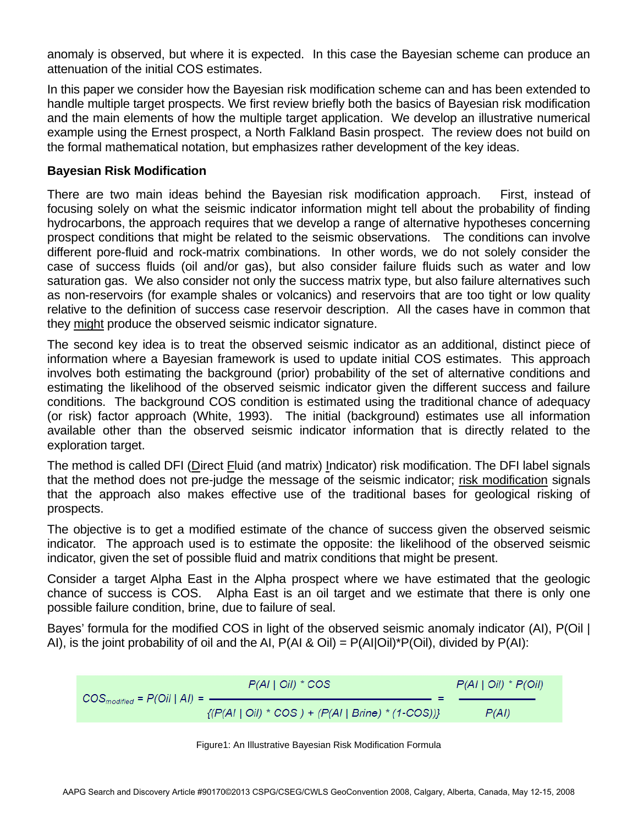anomaly is observed, but where it is expected. In this case the Bayesian scheme can produce an attenuation of the initial COS estimates.

In this paper we consider how the Bayesian risk modification scheme can and has been extended to handle multiple target prospects. We first review briefly both the basics of Bayesian risk modification and the main elements of how the multiple target application. We develop an illustrative numerical example using the Ernest prospect, a North Falkland Basin prospect. The review does not build on the formal mathematical notation, but emphasizes rather development of the key ideas.

### **Bayesian Risk Modification**

There are two main ideas behind the Bayesian risk modification approach. First, instead of focusing solely on what the seismic indicator information might tell about the probability of finding hydrocarbons, the approach requires that we develop a range of alternative hypotheses concerning prospect conditions that might be related to the seismic observations. The conditions can involve different pore-fluid and rock-matrix combinations. In other words, we do not solely consider the case of success fluids (oil and/or gas), but also consider failure fluids such as water and low saturation gas. We also consider not only the success matrix type, but also failure alternatives such as non-reservoirs (for example shales or volcanics) and reservoirs that are too tight or low quality relative to the definition of success case reservoir description. All the cases have in common that they might produce the observed seismic indicator signature.

The second key idea is to treat the observed seismic indicator as an additional, distinct piece of information where a Bayesian framework is used to update initial COS estimates. This approach involves both estimating the background (prior) probability of the set of alternative conditions and estimating the likelihood of the observed seismic indicator given the different success and failure conditions. The background COS condition is estimated using the traditional chance of adequacy (or risk) factor approach (White, 1993). The initial (background) estimates use all information available other than the observed seismic indicator information that is directly related to the exploration target.

The method is called DFI (Direct Fluid (and matrix) Indicator) risk modification. The DFI label signals that the method does not pre-judge the message of the seismic indicator; risk modification signals that the approach also makes effective use of the traditional bases for geological risking of prospects.

The objective is to get a modified estimate of the chance of success given the observed seismic indicator. The approach used is to estimate the opposite: the likelihood of the observed seismic indicator, given the set of possible fluid and matrix conditions that might be present.

Consider a target Alpha East in the Alpha prospect where we have estimated that the geologic chance of success is COS. Alpha East is an oil target and we estimate that there is only one possible failure condition, brine, due to failure of seal.

Bayes' formula for the modified COS in light of the observed seismic anomaly indicator (AI), P(Oil | AI), is the joint probability of oil and the AI,  $P(A \mid \& O\|) = P(A \mid |O\|)^* P(O \mid I)$ , divided by  $P(A \mid I)$ :



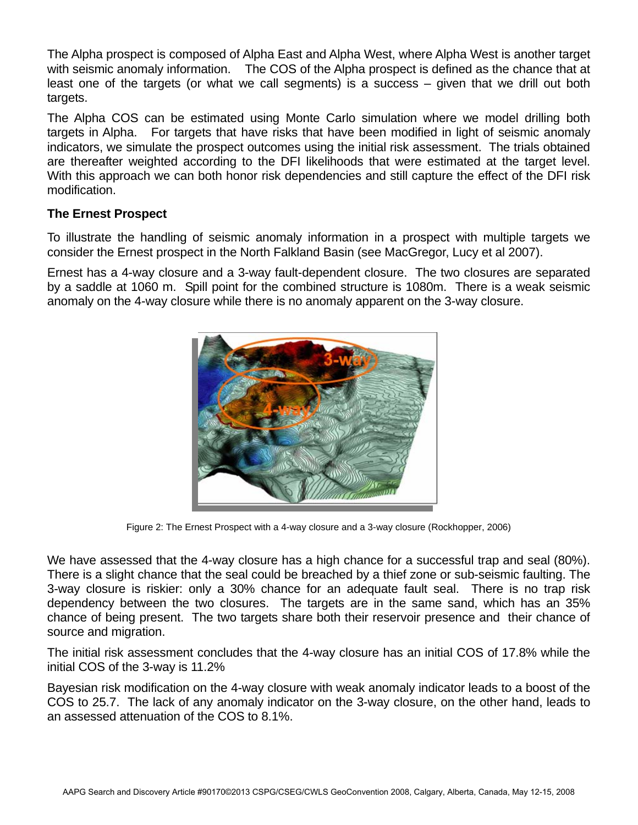The Alpha prospect is composed of Alpha East and Alpha West, where Alpha West is another target with seismic anomaly information. The COS of the Alpha prospect is defined as the chance that at least one of the targets (or what we call segments) is a success – given that we drill out both targets.

The Alpha COS can be estimated using Monte Carlo simulation where we model drilling both targets in Alpha. For targets that have risks that have been modified in light of seismic anomaly indicators, we simulate the prospect outcomes using the initial risk assessment. The trials obtained are thereafter weighted according to the DFI likelihoods that were estimated at the target level. With this approach we can both honor risk dependencies and still capture the effect of the DFI risk modification.

## **The Ernest Prospect**

To illustrate the handling of seismic anomaly information in a prospect with multiple targets we consider the Ernest prospect in the North Falkland Basin (see MacGregor, Lucy et al 2007).

Ernest has a 4-way closure and a 3-way fault-dependent closure. The two closures are separated by a saddle at 1060 m. Spill point for the combined structure is 1080m. There is a weak seismic anomaly on the 4-way closure while there is no anomaly apparent on the 3-way closure.



Figure 2: The Ernest Prospect with a 4-way closure and a 3-way closure (Rockhopper, 2006)

We have assessed that the 4-way closure has a high chance for a successful trap and seal (80%). There is a slight chance that the seal could be breached by a thief zone or sub-seismic faulting. The 3-way closure is riskier: only a 30% chance for an adequate fault seal. There is no trap risk dependency between the two closures. The targets are in the same sand, which has an 35% chance of being present. The two targets share both their reservoir presence and their chance of source and migration.

The initial risk assessment concludes that the 4-way closure has an initial COS of 17.8% while the initial COS of the 3-way is 11.2%

Bayesian risk modification on the 4-way closure with weak anomaly indicator leads to a boost of the COS to 25.7. The lack of any anomaly indicator on the 3-way closure, on the other hand, leads to an assessed attenuation of the COS to 8.1%.